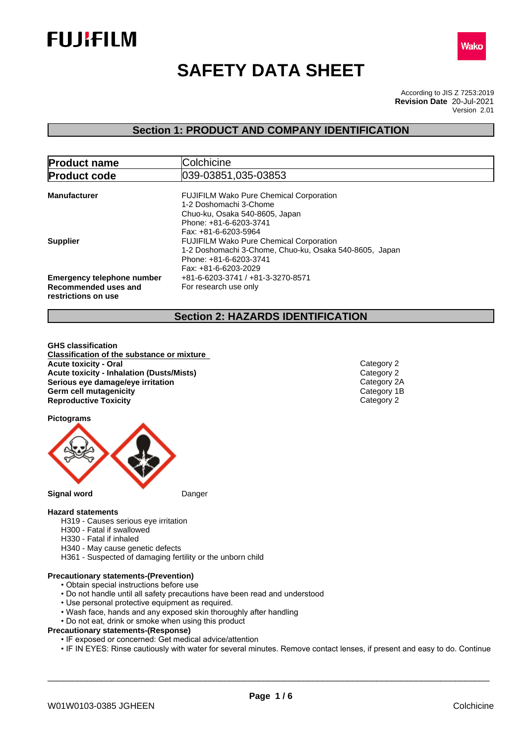



# **SAFETY DATA SHEET**

According to JIS Z 7253:2019 Version 2.01 **Revision Date** 20-Jul-2021

## **Section 1: PRODUCT AND COMPANY IDENTIFICATION**

| <b>Product name</b>               | Colchicine                                             |  |  |  |
|-----------------------------------|--------------------------------------------------------|--|--|--|
| <b>Product code</b>               | 039-03851,035-03853                                    |  |  |  |
|                                   |                                                        |  |  |  |
| <b>Manufacturer</b>               | <b>FUJIFILM Wako Pure Chemical Corporation</b>         |  |  |  |
|                                   | 1-2 Doshomachi 3-Chome                                 |  |  |  |
|                                   | Chuo-ku, Osaka 540-8605, Japan                         |  |  |  |
|                                   | Phone: +81-6-6203-3741                                 |  |  |  |
|                                   | Fax: +81-6-6203-5964                                   |  |  |  |
| <b>Supplier</b>                   | <b>FUJIFILM Wako Pure Chemical Corporation</b>         |  |  |  |
|                                   | 1-2 Doshomachi 3-Chome, Chuo-ku, Osaka 540-8605, Japan |  |  |  |
|                                   | Phone: +81-6-6203-3741                                 |  |  |  |
|                                   | Fax: +81-6-6203-2029                                   |  |  |  |
| <b>Emergency telephone number</b> | +81-6-6203-3741 / +81-3-3270-8571                      |  |  |  |
| Recommended uses and              | For research use only                                  |  |  |  |
| restrictions on use               |                                                        |  |  |  |

## **Section 2: HAZARDS IDENTIFICATION**

**GHS classification Classification of the substance or mixture Acute toxicity - Oral** Category 2 **Acute toxicity - Inhalation (Dusts/Mists)**<br> **Serious eye damage/eye irritation**<br>
Category 2A **Serious eye damage/eye irritation**<br> **Germ cell mutagenicity**<br> **Germ cell mutagenicity Germ cell mutagenicity**<br> **Reproductive Toxicity**<br>
Category 2 **Reproductive Toxicity** 

**Pictograms**



#### **Hazard statements**

- H319 Causes serious eye irritation
- H300 Fatal if swallowed
- H330 Fatal if inhaled
- H340 May cause genetic defects
- H361 Suspected of damaging fertility or the unborn child

## **Precautionary statements-(Prevention)**

- Obtain special instructions before use
- Do not handle until all safety precautions have been read and understood
- Use personal protective equipment as required.
- Wash face, hands and any exposed skin thoroughly after handling
- Do not eat, drink or smoke when using this product

#### **Precautionary statements-(Response)**

- IF exposed or concerned: Get medical advice/attention
- IF IN EYES: Rinse cautiously with water for several minutes. Remove contact lenses, if present and easy to do. Continue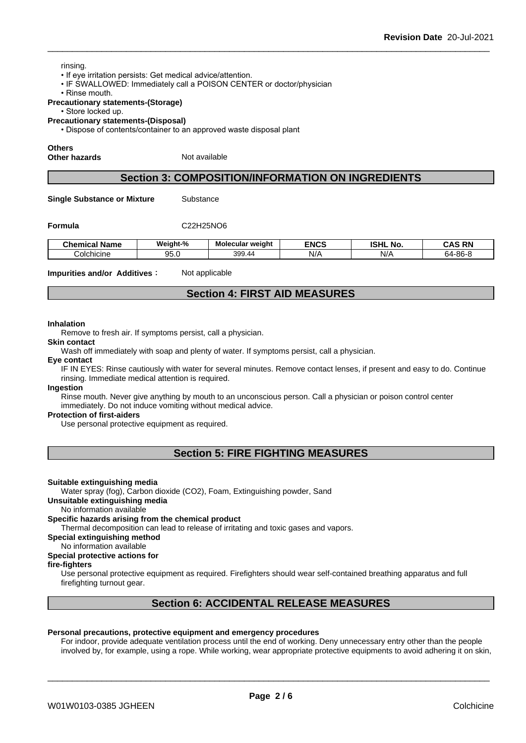#### rinsing.

- If eye irritation persists: Get medical advice/attention.
- IF SWALLOWED: Immediately call a POISON CENTER or doctor/physician
- Rinse mouth.

#### **Precautionary statements-(Storage)**

• Store locked up.

**Precautionary statements-(Disposal)**

• Dispose of contents/container to an approved waste disposal plant

#### **Others**

**Other hazards** Not available

## **Section 3: COMPOSITION/INFORMATION ON INGREDIENTS**

**Single Substance or Mixture** Substance

## **Formula** C22H25NO6

| <b>Chemical Name</b> | Weiaht-%   | . .<br><b>Molecular weight</b> | <b>ENCS</b> | <b>ISHL</b><br>No | <b>AS RN</b> :<br>CAS |
|----------------------|------------|--------------------------------|-------------|-------------------|-----------------------|
| Colchicine           | ~~<br>ن. ن | 399.44                         | N/r         | N/A<br><b>117</b> | $64 - 86 - 8$         |

**Impurities and/or Additives:** Not applicable

## **Section 4: FIRST AID MEASURES**

#### **Inhalation**

Remove to fresh air. If symptoms persist, call a physician.

## **Skin contact**

Wash off immediately with soap and plenty of water. If symptoms persist, call a physician.

## **Eye contact**

IF IN EYES: Rinse cautiously with water for several minutes. Remove contact lenses, if present and easy to do. Continue rinsing. Immediate medical attention is required.

#### **Ingestion**

Rinse mouth. Never give anything by mouth to an unconscious person. Call a physician or poison control center immediately. Do not induce vomiting without medical advice.

#### **Protection of first-aiders**

Use personal protective equipment as required.

## **Section 5: FIRE FIGHTING MEASURES**

#### **Suitable extinguishing media**

Water spray (fog), Carbon dioxide (CO2), Foam, Extinguishing powder, Sand

## **Unsuitable extinguishing media**

No information available

#### **Specific hazards arising from the chemical product**

Thermal decomposition can lead to release of irritating and toxic gases and vapors.

## **Special extinguishing method**

No information available **Special protective actions for**

## **fire-fighters**

Use personal protective equipment as required.Firefighters should wear self-contained breathing apparatus and full firefighting turnout gear.

## **Section 6: ACCIDENTAL RELEASE MEASURES**

#### **Personal precautions, protective equipment and emergency procedures**

For indoor, provide adequate ventilation process until the end of working. Deny unnecessary entry other than the people involved by, for example, using a rope. While working, wear appropriate protective equipments to avoid adhering it on skin,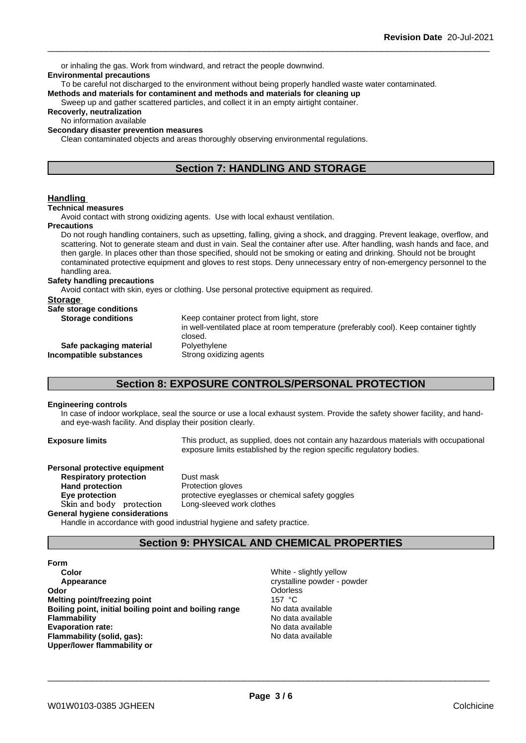\_\_\_\_\_\_\_\_\_\_\_\_\_\_\_\_\_\_\_\_\_\_\_\_\_\_\_\_\_\_\_\_\_\_\_\_\_\_\_\_\_\_\_\_\_\_\_\_\_\_\_\_\_\_\_\_\_\_\_\_\_\_\_\_\_\_\_\_\_\_\_\_\_\_\_\_\_\_\_\_\_\_\_\_\_\_\_\_\_\_ **Revision Date** 20-Jul-2021 or inhaling the gas. Work from windward, and retract the people downwind. **Environmental precautions** To be careful not discharged to the environment without being properly handled waste water contaminated. **Methods and materials for contaminent and methods and materials for cleaning up** Sweep up and gather scattered particles, and collect it in an empty airtight container. **Recoverly, neutralization** No information available **Secondary disaster prevention measures** Clean contaminated objects and areas thoroughly observing environmental regulations. **Section 7: HANDLING AND STORAGE Handling Technical measures** Avoid contact with strong oxidizing agents. Use with local exhaust ventilation. **Precautions** Do not rough handling containers, such as upsetting, falling, giving a shock, and dragging. Prevent leakage, overflow, and scattering. Not to generate steam and dust in vain. Seal the container after use. After handling, wash hands and face, and then gargle. In places other than those specified, should not be smoking or eating and drinking. Should not be brought contaminated protective equipment and gloves to rest stops. Deny unnecessary entry of non-emergency personnel to the handling area. **Safety handling precautions** Avoid contact with skin, eyes or clothing. Use personal protective equipment as required.**Storage Safe storage conditions Storage conditions** Keep container protect from light, store in well-ventilated place at room temperature (preferably cool). Keep container tightly closed.<br>Polyethylene **Safe packaging material** Polyethylene<br>**Safe paramic propertions**<br>**Strong oxidizing agents Incompatible substances Section 8: EXPOSURE CONTROLS/PERSONAL PROTECTION**

# **Engineering controls**

In case of indoor workplace, seal the source or use a local exhaust system. Provide the safety shower facility, and handand eye-wash facility. And display their position clearly.

**Exposure limits** This product, as supplied, does not contain any hazardous materials with occupational exposure limits established by the region specific regulatory bodies.

| Personal protective equipment         |                                                  |
|---------------------------------------|--------------------------------------------------|
| <b>Respiratory protection</b>         | Dust mask                                        |
| <b>Hand protection</b>                | Protection gloves                                |
| Eye protection                        | protective eyeglasses or chemical safety goggles |
| Skin and body protection              | Long-sleeved work clothes                        |
| <b>General hygiene considerations</b> |                                                  |

Handle in accordance with good industrial hygiene and safety practice.

## **Section 9: PHYSICAL AND CHEMICAL PROPERTIES**

#### **Form**

**Color** Color **Color Color Color Color Color Color Color Color Color Color Color Color Color Color Color Color Color Color Color Color Color Color Color Color Color Color Appearance** crystalline powder - powder - powder - powder - powder - powder - powder - powder - powder - powder **Odor Odor Odorless Odorless Odorless Odorless Melting point/freezing point**<br> **Boiling point, initial boiling point and boiling range** Modata available **Boiling point, initial boiling point and boiling range Flammability** No data available **Evaporation rate:** No data available **Flammability (solid, gas):** No data available **Upper/lower flammability or**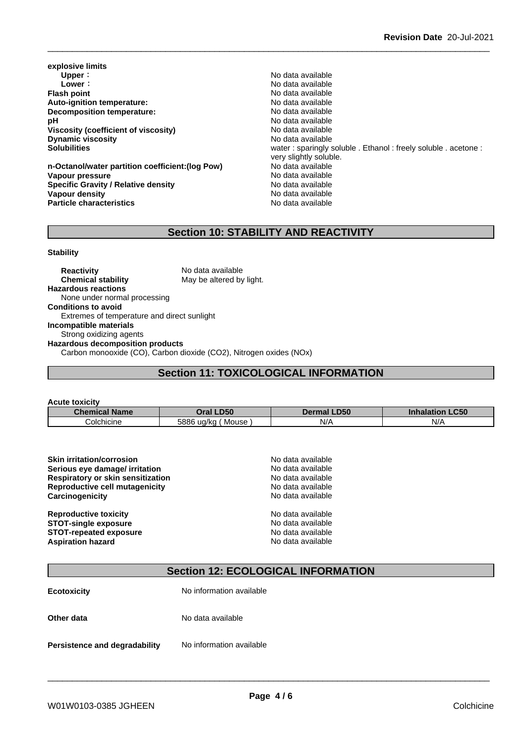**explosive limits Upper** : the contract of the contract of the contract of the contract of the contract of the contract of the contract of the contract of the contract of the contract of the contract of the contract of the contract of the **Flash point**<br> **Auto-ignition temperature:**<br> **Auto-ignition temperature:**<br> **Auto-ignition temperature: Auto-ignition temperature:**<br> **Decomposition temperature:** No data available<br>
No data available **Decomposition temperature: pH** No data available<br>Viscosity (coefficient of viscosity) No data available **Viscosity** (coefficient of viscosity) **Dynamic viscosity** No data available

**n-Octanol/water partition coefficient:(log Pow) Vapour pressure**<br> **Specific Gravity / Relative density**<br>
Specific Gravity / Relative density<br>
No data available **Specific Gravity / Relative density and the Specific Gravity No data available**<br> **Vapour density No data available Vapour density Particle characteristics** No data available

**Lower:** No data available **Solubilities** water : sparingly soluble . Ethanol : freely soluble . acetone : very slightly soluble.<br>No data available

## **Section 10: STABILITY AND REACTIVITY**

#### **Stability**

**Reactivity** No data available **Chemical stability** May be altered by light. **Hazardous reactions** None under normal processing **Conditions to avoid** Extremes of temperature and direct sunlight **Incompatible materials** Strong oxidizing agents **Hazardous decomposition products** Carbon monooxide (CO), Carbon dioxide (CO2), Nitrogen oxides (NOx)

## **Section 11: TOXICOLOGICAL INFORMATION**

| <b>Acute toxicity</b> |                       |                    |                        |
|-----------------------|-----------------------|--------------------|------------------------|
| <b>Chemical Name</b>  | Oral LD50             | <b>Dermal LD50</b> | <b>Inhalation LC50</b> |
| Colchicine            | ' Mouse<br>5886 ug/kg | N/A                | N/A                    |

| <b>Skin irritation/corrosion</b>  | No data available |
|-----------------------------------|-------------------|
| Serious eye damage/ irritation    | No data available |
| Respiratory or skin sensitization | No data available |
| Reproductive cell mutagenicity    | No data available |
| Carcinogenicity                   | No data available |
| <b>Reproductive toxicity</b>      | No data available |
| <b>STOT-single exposure</b>       | No data available |
| <b>STOT-repeated exposure</b>     | No data available |
| <b>Aspiration hazard</b>          | No data available |

## **Section 12: ECOLOGICAL INFORMATION**

| <b>Ecotoxicity</b>            | No information available |
|-------------------------------|--------------------------|
| Other data                    | No data available        |
| Persistence and degradability | No information available |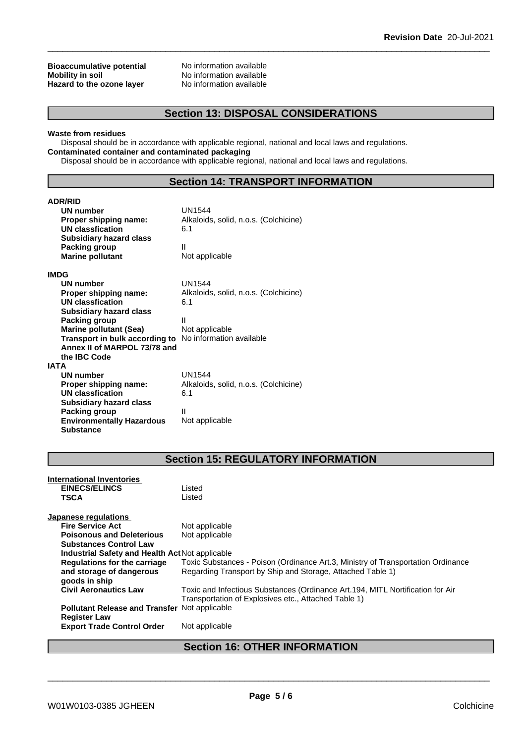## **Bioaccumulative potential** No information available<br> **Mobility in soil** No information available **Hazard** to the ozone layer

**No information available**<br>**No information available** 

## **Section 13: DISPOSAL CONSIDERATIONS**

## **Waste from residues**

Disposal should be in accordance with applicable regional, national and local laws and regulations. **Contaminated container and contaminated packaging**

Disposal should be in accordance with applicable regional, national and local laws and regulations.

## **Section 14: TRANSPORT INFORMATION**

| <b>ADR/RID</b>                                          |                                       |
|---------------------------------------------------------|---------------------------------------|
| UN number                                               | <b>UN1544</b>                         |
| Proper shipping name:                                   | Alkaloids, solid, n.o.s. (Colchicine) |
| <b>UN classfication</b>                                 | 6.1                                   |
| <b>Subsidiary hazard class</b>                          |                                       |
| Packing group                                           | Ш                                     |
| <b>Marine pollutant</b>                                 | Not applicable                        |
| IMDG                                                    |                                       |
| <b>UN number</b>                                        | <b>UN1544</b>                         |
| Proper shipping name:                                   | Alkaloids, solid, n.o.s. (Colchicine) |
| <b>UN classfication</b>                                 | 6.1                                   |
| <b>Subsidiary hazard class</b>                          |                                       |
| Packing group                                           | Ш                                     |
| <b>Marine pollutant (Sea)</b>                           | Not applicable                        |
| Transport in bulk according to No information available |                                       |
| Annex II of MARPOL 73/78 and                            |                                       |
| the IBC Code                                            |                                       |
| IATA                                                    |                                       |
| <b>UN number</b>                                        | <b>UN1544</b>                         |
| Proper shipping name:                                   | Alkaloids, solid, n.o.s. (Colchicine) |
| <b>UN classfication</b>                                 | 6.1                                   |
| <b>Subsidiary hazard class</b>                          |                                       |
| Packing group                                           | Ш                                     |
| <b>Environmentally Hazardous</b>                        | Not applicable                        |
| <b>Substance</b>                                        |                                       |

## **Section 15: REGULATORY INFORMATION**

| <b>International Inventories</b><br><b>EINECS/ELINCS</b><br><b>TSCA</b>     | Listed<br>Listed                                                                                                                       |
|-----------------------------------------------------------------------------|----------------------------------------------------------------------------------------------------------------------------------------|
| <b>Japanese regulations</b>                                                 |                                                                                                                                        |
| <b>Fire Service Act</b>                                                     | Not applicable                                                                                                                         |
| <b>Poisonous and Deleterious</b>                                            | Not applicable                                                                                                                         |
| <b>Substances Control Law</b>                                               |                                                                                                                                        |
| Industrial Safety and Health Act Not applicable                             |                                                                                                                                        |
| Regulations for the carriage                                                | Toxic Substances - Poison (Ordinance Art.3, Ministry of Transportation Ordinance                                                       |
| and storage of dangerous<br>goods in ship                                   | Regarding Transport by Ship and Storage, Attached Table 1)                                                                             |
| <b>Civil Aeronautics Law</b>                                                | Toxic and Infectious Substances (Ordinance Art.194, MITL Nortification for Air<br>Transportation of Explosives etc., Attached Table 1) |
| <b>Pollutant Release and Transfer Not applicable</b><br><b>Register Law</b> |                                                                                                                                        |
| <b>Export Trade Control Order</b>                                           | Not applicable                                                                                                                         |

## **Section 16: OTHER INFORMATION**